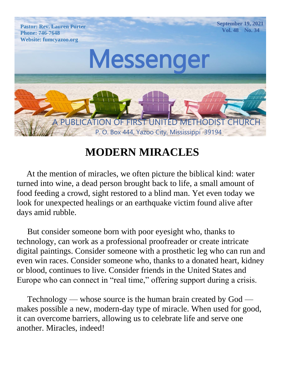

## **MODERN MIRACLES**

 At the mention of miracles, we often picture the biblical kind: water turned into wine, a dead person brought back to life, a small amount of food feeding a crowd, sight restored to a blind man. Yet even today we look for unexpected healings or an earthquake victim found alive after days amid rubble.

 But consider someone born with poor eyesight who, thanks to technology, can work as a professional proofreader or create intricate digital paintings. Consider someone with a prosthetic leg who can run and even win races. Consider someone who, thanks to a donated heart, kidney or blood, continues to live. Consider friends in the United States and Europe who can connect in "real time," offering support during a crisis.

 Technology — whose source is the human brain created by God makes possible a new, modern-day type of miracle. When used for good, it can overcome barriers, allowing us to celebrate life and serve one another. Miracles, indeed!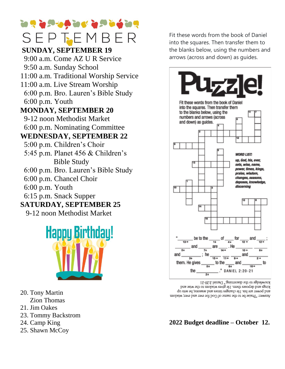# **The independent of the independent of the co** SEPTEMBER

#### **Phone: CEINIDAN SUNDAY, SEPTEMBER 19**

 9:00 a.m. Come AZ U R Service 9:50 a.m. Sunday School 11:00 a.m. Traditional Worship Service

- 11:00 a.m. Live Stream Worship
- 6:00 p.m. Bro. Lauren's Bible Study 6:00 p.m. Youth

#### **MONDAY, SEPTEMBER 20**

9-12 noon Methodist Market  $\frac{9}{600}$ 6:00 p.m. Nominating Committee

## **WEDNESDAY, SEPTEMBER 22**

- 5:00 p.m. Children's Choir
- 5:45 p.m. Planet 456 & Children's Bible Study
- 6:00 p.m. Bro. Lauren's Bible Study
- 6:00 p.m. Chancel Choir
- 6:00 p.m. Youth
- 6:15 p.m. Snack Supper

## **SATURDAY, SEPTEMBER 25**

9-12 noon Methodist Market



- 20. Tony Martin Zion Thomas
- 21. Jim Oakes
- 23. Tommy Backstrom
- 24. Camp King
- 25. Shawn McCoy

arrows (across and down) as guides. Vol. 46 No. 14 Fit these words from the book of Daniel into the squares. Then transfer them to the blanks below, using the numbers and



knowledge to the discerning." Daniel 2:20-21 kings and deposes them. He gives wisdom to the wise and and power are his. He changes times and seasons; he sets up Answer. "Praise be to the name of God for ever and ever, wisdom

#### **2022 Budget deadline – October 12.**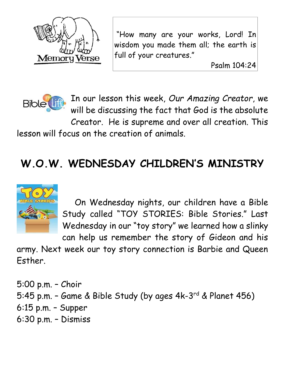

"How many are your works, Lord! In wisdom you made them all; the earth is full of your creatures."

Psalm 104:24



In our lesson this week, *Our Amazing Creator*, we will be discussing the fact that God is the absolute Creator. He is supreme and over all creation. This

lesson will focus on the creation of animals.

## **W.O.W. WEDNESDAY CHILDREN'S MINISTRY**



 On Wednesday nights, our children have a Bible Study called "TOY STORIES: Bible Stories." Last Wednesday in our "toy story" we learned how a slinky

can help us remember the story of Gideon and his army. Next week our toy story connection is Barbie and Queen Esther.

5:00 p.m. – Choir 5:45 p.m. - Game & Bible Study (by ages 4k-3<sup>rd</sup> & Planet 456) 6:15 p.m. – Supper 6:30 p.m. – Dismiss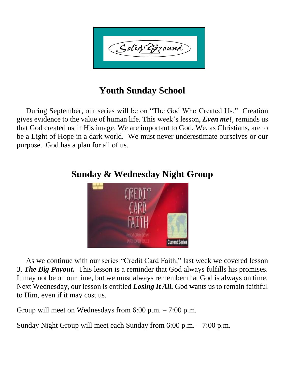Solid Exound

## **Youth Sunday School**

 During September, our series will be on "The God Who Created Us." Creation gives evidence to the value of human life. This week's lesson, *Even me!*, reminds us that God created us in His image. We are important to God. We, as Christians, are to be a Light of Hope in a dark world. We must never underestimate ourselves or our purpose. God has a plan for all of us.



## **Sunday & Wednesday Night Group**

 As we continue with our series "Credit Card Faith," last week we covered lesson 3, *The Big Payout.* This lesson is a reminder that God always fulfills his promises. It may not be on our time, but we must always remember that God is always on time. Next Wednesday, our lesson is entitled *Losing It All.* God wants us to remain faithful to Him, even if it may cost us.

Group will meet on Wednesdays from 6:00 p.m. – 7:00 p.m.

Sunday Night Group will meet each Sunday from 6:00 p.m. – 7:00 p.m.